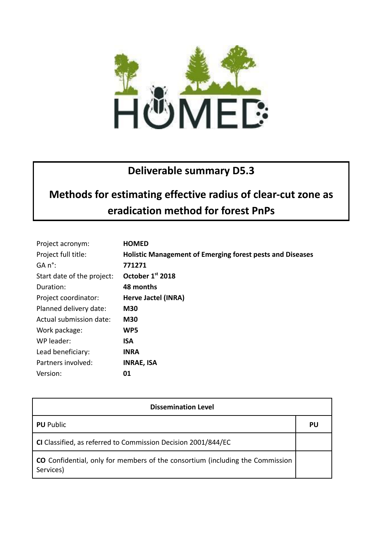

## **Deliverable summary D5.3**

# **Methods for estimating effective radius of clear-cut zone as eradication method for forest PnPs**

| Project acronym:           | <b>HOMED</b>                                                     |
|----------------------------|------------------------------------------------------------------|
| Project full title:        | <b>Holistic Management of Emerging forest pests and Diseases</b> |
| GA n°:                     | 771271                                                           |
| Start date of the project: | October 1st 2018                                                 |
| Duration:                  | 48 months                                                        |
| Project coordinator:       | Herve Jactel (INRA)                                              |
| Planned delivery date:     | <b>M30</b>                                                       |
| Actual submission date:    | <b>M30</b>                                                       |
| Work package:              | WP5                                                              |
| WP leader:                 | <b>ISA</b>                                                       |
| Lead beneficiary:          | <b>INRA</b>                                                      |
| Partners involved:         | <b>INRAE, ISA</b>                                                |
| Version:                   | 01                                                               |

| <b>Dissemination Level</b>                                                                        |    |  |
|---------------------------------------------------------------------------------------------------|----|--|
| <b>PU</b> Public                                                                                  | PU |  |
| CI Classified, as referred to Commission Decision 2001/844/EC                                     |    |  |
| <b>CO</b> Confidential, only for members of the consortium (including the Commission<br>Services) |    |  |